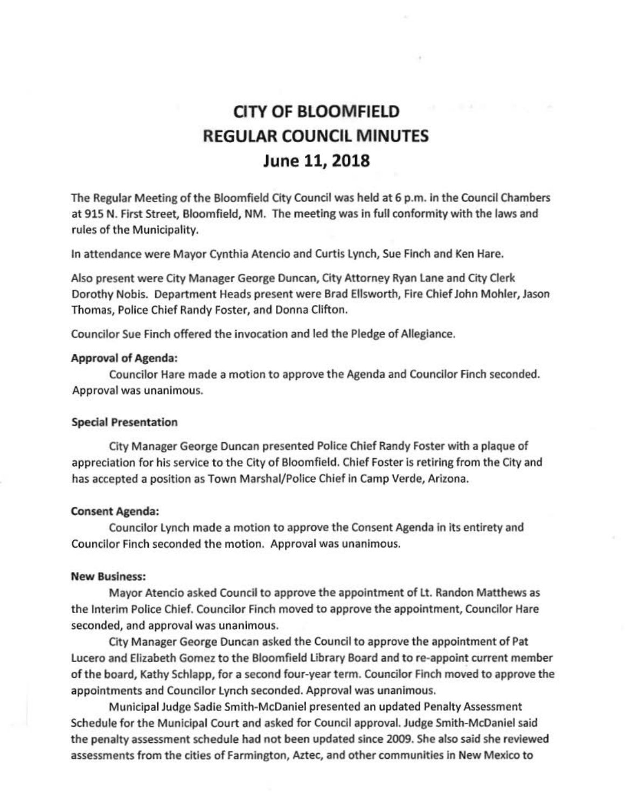# **CITY OF BLOOMFIELD REGULAR COUNCIL MINUTES June 11, 2018**

The Regular Meeting of the Bloomfield City Council was held at 6 p.m. in the Council Chambers at 915 N. First Street, Bloomfield, NM. The meeting was in full conformity with the laws and rules of the Municipality.

In attendance were Mayor Cynthia Atencio and Curtis Lynch, Sue Finch and Ken Hare.

Also present were City Manager George Duncan, City Attorney Ryan lane and Crty Clerk Dorothy Nobis. Department Heads present were Brad Ellsworth, Fire Chief John Mohler, Jason Thomas, Police Chief Randy Foster, and Donna Clifton.

Councilor Sue Finch offered the invocation and led the Pledge of Allegiance.

#### Approval of Agenda:

Councilor Hare made a motion to approve the Agenda and Councilor Finch seconded. Approval was unanimous.

#### Special Presentation

City Manager George Duncan presented Police Chief Randy Foster with a plaque of appreciation for his service to the City of Bloomfield. Chief Foster is retiring from the City and has accepted a position as Town Marshal/Police Chief in Camp Verde, Arizona.

#### Consent Agenda:

Councilor Lynch made a motion to approve the Consent Agenda in its entirety and Councilor Finch seconded the motion. Approval was unanimous.

#### New Business:

Mayor Atencio asked Council to approve the appointment of Lt. Randon Matthews as the Interim Police Chief. Councilor Finch moved to approve the appointment, Councilor Hare seconded, and approval was unanimous.

City Manager George Duncan asked the Council to approve the appointment of Pat Lucero and Elizabeth Gomez to the Bloomfield library Board and to re-appoint current member of the board, Kathy Schlapp, for a second four-year term. Councilor Finch moved to approve the appointments and Councilor Lynch seconded. Approval was unanimous.

Municipal Judge Sadie Smith-McDaniel presented an updated Penalty Assessment Schedule for the Municipal Court and asked for Council approval. Judge Smith-McDaniel said the penalty assessment schedule had not been updated since 2009. She also said she reviewed assessments from the cities of Farmington, Aztec, and other communities in New Mexico to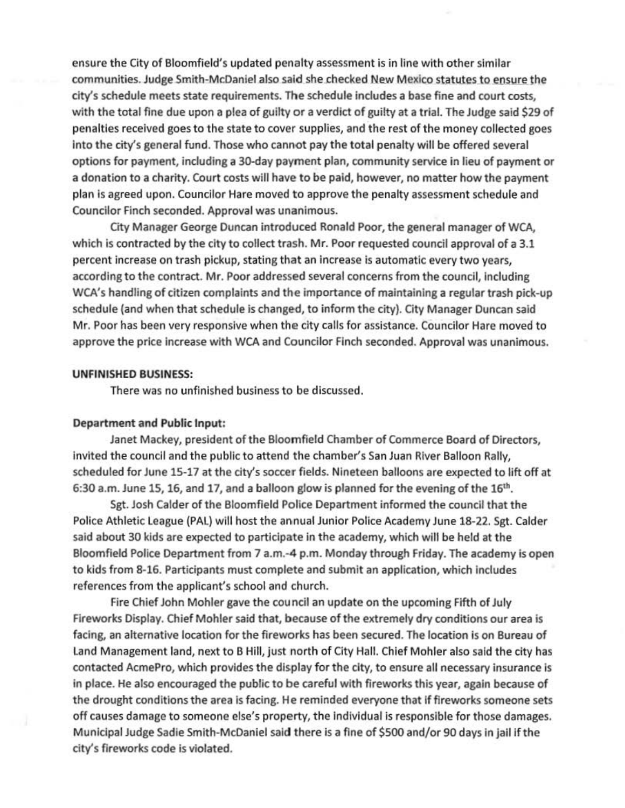ensure the City of Bloomfield's updated penalty assessment is in line with other similar communities. Judge Smith-McDaniel also said she checked New Mexico statutes to ensure the city's schedule meets state requirements. The schedule includes a base fine and court costs, with the total fine due upon a plea of guilty or a verdict of guilty at a trial. The Judge said \$29 of penalties received goes to the state to cover supplies, and the rest of the money collected goes into the city's general fund. Those who cannot pay the total penalty will be offered several options for payment, including a 30-day payment plan, community service in lieu of payment or a donation to a charity. Court costs will have to be paid, however, no matter how the payment plan is agreed upon. Councilor Hare moved to approve the penalty assessment schedule and Councilor Finch seconded. Approval was unanimous.

City Manager George Duncan introduced Ronald Poor, the general manager of WCA, which is contracted by the city to collect trash. Mr. Poor requested council approval of a 3.1 percent increase on trash pickup, stating that an increase is automatic every two years, according to the contract. Mr. Poor addressed several concerns from the council, Including WCA's handling of citizen complaints and the importance of maintaining a regular trash pick-up schedule (and when that schedule is changed, to inform the city). City Manager Duncan said Mr. Poor has been very responsive when the city calls for assistance. Councilor Hare moved to approve the price increase with WCA and Councilor Finch seconded. Approval was unanimous.

#### UNFINISHED BUSINESS:

There was no unfinished business to be discussed.

#### Department and Public Input:

Janet Mackey, president of the Bloomfield Chamber of Commerce Board of Directors, Invited the council and the public to attend the chamber's San Juan River Balloon Rally, scheduled for June 15-17 at the city's soccer fields. Nineteen balloons are expected to lift off at 6:30 a.m. June 15, 16, and 17, and a balloon glow is planned for the evening of the 16<sup>th</sup>.

Sgt. Josh Calder of the Bloomfield Police Department informed the council that the Police Athletic League (PAL) will host the annual Junior Police Academy June 18-22. Sgt. Calder said about 30 kids are expected to participate in the academy, which will be held at the Bloomfield Police Department from 7 a.m.-4 p.m. Monday through Friday. The academy is open to kids from 8-16. Participants must complete and submit an application, which Includes references from the applicant's school and church.

Fire Chief John Mohler gave the council an update on the upcoming Fifth of July Fireworks Display. Chief Mohler said that, because of the extremely dry conditions our area is facing, an alternative location for the fireworks has been secured. The location is on Bureau of Land Management land, next to B Hill, just north of City Hall. Chief Mohler also said the city has contacted AcmePro, which provides the display for the city, to ensure all necessary insurance is in place. He also encouraged the public to be careful with fireworks this year, again because of the drought conditions the area is facing. He reminded everyone that if fireworks someone sets off causes damage to someone else's property, the Individual is responsible for those damages. Municipal Judge Sadie Smith-McDaniel said there is a fine of \$500 and/or 90 days in jail ifthe city's fireworks code is violated.